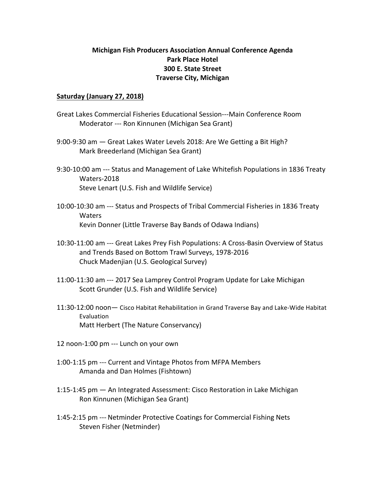## **Michigan Fish Producers Association Annual Conference Agenda Park Place Hotel 300 E. State Street Traverse City, Michigan**

## **Saturday (January 27, 2018)**

- Great Lakes Commercial Fisheries Educational Session---Main Conference Room Moderator --- Ron Kinnunen (Michigan Sea Grant)
- 9:00-9:30 am Great Lakes Water Levels 2018: Are We Getting a Bit High? Mark Breederland (Michigan Sea Grant)
- 9:30-10:00 am --- Status and Management of Lake Whitefish Populations in 1836 Treaty Waters-2018 Steve Lenart (U.S. Fish and Wildlife Service)
- 10:00-10:30 am --- Status and Prospects of Tribal Commercial Fisheries in 1836 Treaty **Waters** Kevin Donner (Little Traverse Bay Bands of Odawa Indians)
- 10:30-11:00 am --- Great Lakes Prey Fish Populations: A Cross-Basin Overview of Status and Trends Based on Bottom Trawl Surveys, 1978-2016 Chuck Madenjian (U.S. Geological Survey)
- 11:00-11:30 am --- 2017 Sea Lamprey Control Program Update for Lake Michigan Scott Grunder (U.S. Fish and Wildlife Service)
- 11:30-12:00 noon- Cisco Habitat Rehabilitation in Grand Traverse Bay and Lake-Wide Habitat Evaluation Matt Herbert (The Nature Conservancy)
- 12 noon-1:00 pm --- Lunch on your own
- 1:00-1:15 pm --- Current and Vintage Photos from MFPA Members Amanda and Dan Holmes (Fishtown)
- 1:15-1:45 pm An Integrated Assessment: Cisco Restoration in Lake Michigan Ron Kinnunen (Michigan Sea Grant)
- 1:45-2:15 pm --- Netminder Protective Coatings for Commercial Fishing Nets Steven Fisher (Netminder)